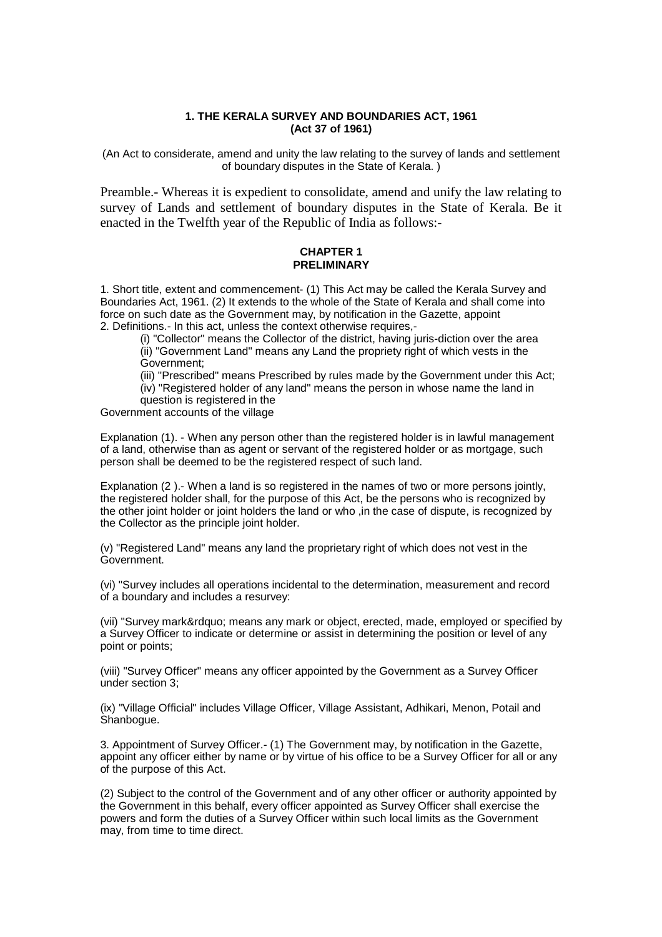## **1. THE KERALA SURVEY AND BOUNDARIES ACT, 1961 (Act 37 of 1961)**

(An Act to considerate, amend and unity the law relating to the survey of lands and settlement of boundary disputes in the State of Kerala. )

Preamble.- Whereas it is expedient to consolidate, amend and unify the law relating to survey of Lands and settlement of boundary disputes in the State of Kerala. Be it enacted in the Twelfth year of the Republic of India as follows:-

## **CHAPTER 1 PRELIMINARY**

1. Short title, extent and commencement- (1) This Act may be called the Kerala Survey and Boundaries Act, 1961. (2) It extends to the whole of the State of Kerala and shall come into force on such date as the Government may, by notification in the Gazette, appoint 2. Definitions.- In this act, unless the context otherwise requires,-

(i) "Collector" means the Collector of the district, having juris-diction over the area (ii) "Government Land" means any Land the propriety right of which vests in the Government;

(iii) "Prescribed" means Prescribed by rules made by the Government under this Act; (iv) "Registered holder of any land" means the person in whose name the land in

question is registered in the

Government accounts of the village

Explanation (1). - When any person other than the registered holder is in lawful management of a land, otherwise than as agent or servant of the registered holder or as mortgage, such person shall be deemed to be the registered respect of such land.

Explanation (2).- When a land is so registered in the names of two or more persons jointly, the registered holder shall, for the purpose of this Act, be the persons who is recognized by the other joint holder or joint holders the land or who ,in the case of dispute, is recognized by the Collector as the principle joint holder.

(v) "Registered Land" means any land the proprietary right of which does not vest in the Government.

(vi) "Survey includes all operations incidental to the determination, measurement and record of a boundary and includes a resurvey:

(vii) "Survey mark" means any mark or object, erected, made, employed or specified by a Survey Officer to indicate or determine or assist in determining the position or level of any point or points;

(viii) "Survey Officer" means any officer appointed by the Government as a Survey Officer under section 3;

(ix) "Village Official" includes Village Officer, Village Assistant, Adhikari, Menon, Potail and Shanbogue.

3. Appointment of Survey Officer.- (1) The Government may, by notification in the Gazette, appoint any officer either by name or by virtue of his office to be a Survey Officer for all or any of the purpose of this Act.

(2) Subject to the control of the Government and of any other officer or authority appointed by the Government in this behalf, every officer appointed as Survey Officer shall exercise the powers and form the duties of a Survey Officer within such local limits as the Government may, from time to time direct.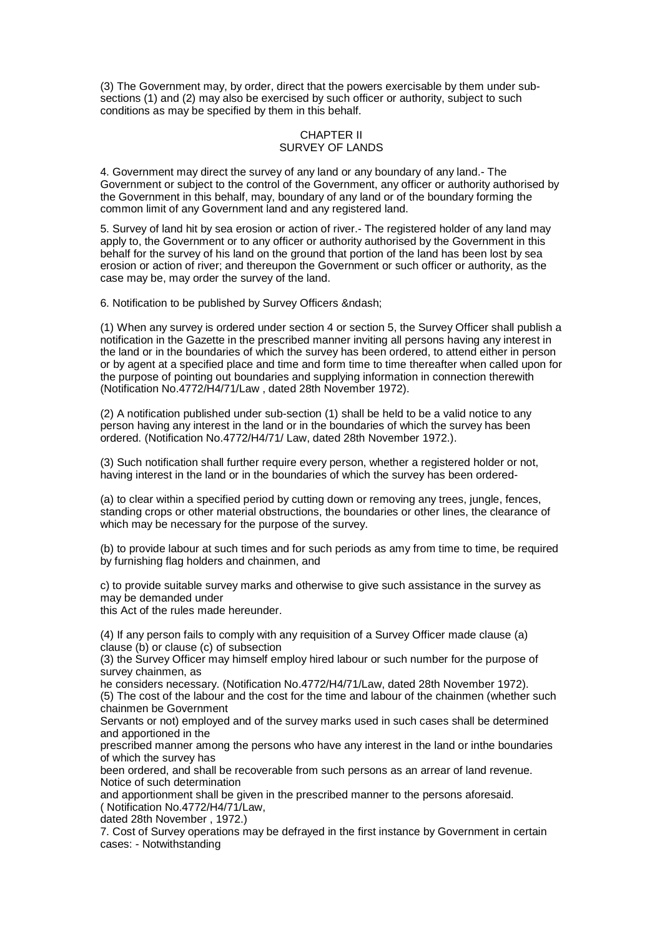(3) The Government may, by order, direct that the powers exercisable by them under subsections (1) and (2) may also be exercised by such officer or authority, subject to such conditions as may be specified by them in this behalf.

## CHAPTER II SURVEY OF LANDS

4. Government may direct the survey of any land or any boundary of any land.- The Government or subject to the control of the Government, any officer or authority authorised by the Government in this behalf, may, boundary of any land or of the boundary forming the common limit of any Government land and any registered land.

5. Survey of land hit by sea erosion or action of river.- The registered holder of any land may apply to, the Government or to any officer or authority authorised by the Government in this behalf for the survey of his land on the ground that portion of the land has been lost by sea erosion or action of river; and thereupon the Government or such officer or authority, as the case may be, may order the survey of the land.

6. Notification to be published by Survey Officers –

(1) When any survey is ordered under section 4 or section 5, the Survey Officer shall publish a notification in the Gazette in the prescribed manner inviting all persons having any interest in the land or in the boundaries of which the survey has been ordered, to attend either in person or by agent at a specified place and time and form time to time thereafter when called upon for the purpose of pointing out boundaries and supplying information in connection therewith (Notification No.4772/H4/71/Law , dated 28th November 1972).

(2) A notification published under sub-section (1) shall be held to be a valid notice to any person having any interest in the land or in the boundaries of which the survey has been ordered. (Notification No.4772/H4/71/ Law, dated 28th November 1972.).

(3) Such notification shall further require every person, whether a registered holder or not, having interest in the land or in the boundaries of which the survey has been ordered-

(a) to clear within a specified period by cutting down or removing any trees, jungle, fences, standing crops or other material obstructions, the boundaries or other lines, the clearance of which may be necessary for the purpose of the survey.

(b) to provide labour at such times and for such periods as amy from time to time, be required by furnishing flag holders and chainmen, and

c) to provide suitable survey marks and otherwise to give such assistance in the survey as may be demanded under

this Act of the rules made hereunder.

(4) If any person fails to comply with any requisition of a Survey Officer made clause (a) clause (b) or clause (c) of subsection

(3) the Survey Officer may himself employ hired labour or such number for the purpose of survey chainmen, as

he considers necessary. (Notification No.4772/H4/71/Law, dated 28th November 1972).

(5) The cost of the labour and the cost for the time and labour of the chainmen (whether such chainmen be Government

Servants or not) employed and of the survey marks used in such cases shall be determined and apportioned in the

prescribed manner among the persons who have any interest in the land or inthe boundaries of which the survey has

been ordered, and shall be recoverable from such persons as an arrear of land revenue. Notice of such determination

and apportionment shall be given in the prescribed manner to the persons aforesaid. ( Notification No.4772/H4/71/Law,

dated 28th November , 1972.)

7. Cost of Survey operations may be defrayed in the first instance by Government in certain cases: - Notwithstanding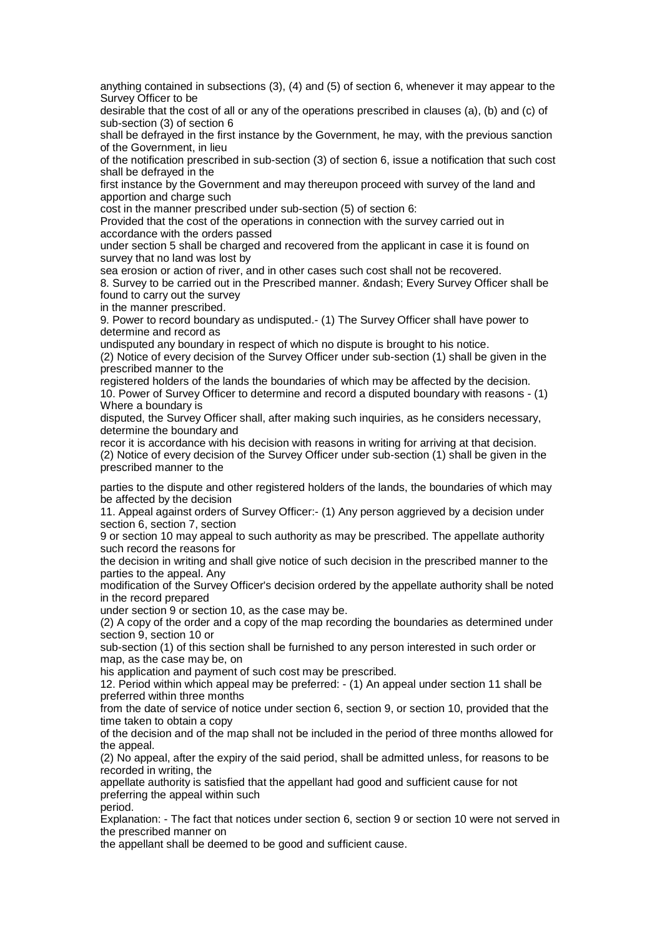anything contained in subsections (3), (4) and (5) of section 6, whenever it may appear to the Survey Officer to be

desirable that the cost of all or any of the operations prescribed in clauses (a), (b) and (c) of sub-section (3) of section 6

shall be defrayed in the first instance by the Government, he may, with the previous sanction of the Government, in lieu

of the notification prescribed in sub-section (3) of section 6, issue a notification that such cost shall be defrayed in the

first instance by the Government and may thereupon proceed with survey of the land and apportion and charge such

cost in the manner prescribed under sub-section (5) of section 6:

Provided that the cost of the operations in connection with the survey carried out in accordance with the orders passed

under section 5 shall be charged and recovered from the applicant in case it is found on survey that no land was lost by

sea erosion or action of river, and in other cases such cost shall not be recovered.

8. Survey to be carried out in the Prescribed manner. – Every Survey Officer shall be found to carry out the survey

in the manner prescribed.

9. Power to record boundary as undisputed.- (1) The Survey Officer shall have power to determine and record as

undisputed any boundary in respect of which no dispute is brought to his notice.

(2) Notice of every decision of the Survey Officer under sub-section (1) shall be given in the prescribed manner to the

registered holders of the lands the boundaries of which may be affected by the decision. 10. Power of Survey Officer to determine and record a disputed boundary with reasons - (1) Where a boundary is

disputed, the Survey Officer shall, after making such inquiries, as he considers necessary, determine the boundary and

recor it is accordance with his decision with reasons in writing for arriving at that decision. (2) Notice of every decision of the Survey Officer under sub-section (1) shall be given in the prescribed manner to the

parties to the dispute and other registered holders of the lands, the boundaries of which may be affected by the decision

11. Appeal against orders of Survey Officer:- (1) Any person aggrieved by a decision under section 6, section 7, section

9 or section 10 may appeal to such authority as may be prescribed. The appellate authority such record the reasons for

the decision in writing and shall give notice of such decision in the prescribed manner to the parties to the appeal. Any

modification of the Survey Officer's decision ordered by the appellate authority shall be noted in the record prepared

under section 9 or section 10, as the case may be.

(2) A copy of the order and a copy of the map recording the boundaries as determined under section 9, section 10 or

sub-section (1) of this section shall be furnished to any person interested in such order or map, as the case may be, on

his application and payment of such cost may be prescribed.

12. Period within which appeal may be preferred: - (1) An appeal under section 11 shall be preferred within three months

from the date of service of notice under section 6, section 9, or section 10, provided that the time taken to obtain a copy

of the decision and of the map shall not be included in the period of three months allowed for the appeal.

(2) No appeal, after the expiry of the said period, shall be admitted unless, for reasons to be recorded in writing, the

appellate authority is satisfied that the appellant had good and sufficient cause for not preferring the appeal within such

period.

Explanation: - The fact that notices under section 6, section 9 or section 10 were not served in the prescribed manner on

the appellant shall be deemed to be good and sufficient cause.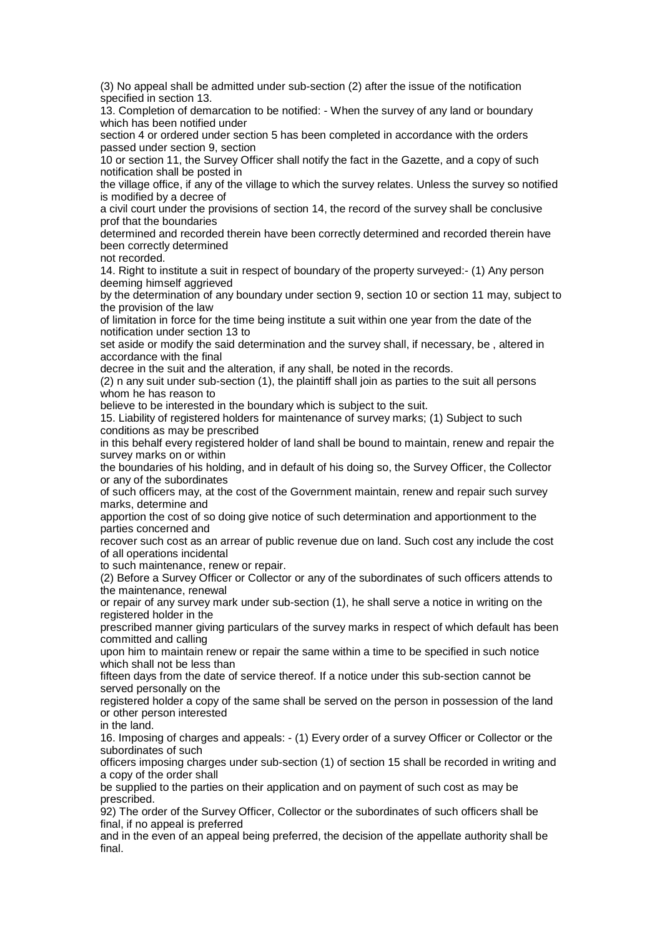(3) No appeal shall be admitted under sub-section (2) after the issue of the notification specified in section 13.

13. Completion of demarcation to be notified: - When the survey of any land or boundary which has been notified under

section 4 or ordered under section 5 has been completed in accordance with the orders passed under section 9, section

10 or section 11, the Survey Officer shall notify the fact in the Gazette, and a copy of such notification shall be posted in

the village office, if any of the village to which the survey relates. Unless the survey so notified is modified by a decree of

a civil court under the provisions of section 14, the record of the survey shall be conclusive prof that the boundaries

determined and recorded therein have been correctly determined and recorded therein have been correctly determined

not recorded.

14. Right to institute a suit in respect of boundary of the property surveyed:- (1) Any person deeming himself aggrieved

by the determination of any boundary under section 9, section 10 or section 11 may, subject to the provision of the law

of limitation in force for the time being institute a suit within one year from the date of the notification under section 13 to

set aside or modify the said determination and the survey shall, if necessary, be , altered in accordance with the final

decree in the suit and the alteration, if any shall, be noted in the records.

(2) n any suit under sub-section (1), the plaintiff shall join as parties to the suit all persons whom he has reason to

believe to be interested in the boundary which is subject to the suit.

15. Liability of registered holders for maintenance of survey marks; (1) Subject to such conditions as may be prescribed

in this behalf every registered holder of land shall be bound to maintain, renew and repair the survey marks on or within

the boundaries of his holding, and in default of his doing so, the Survey Officer, the Collector or any of the subordinates

of such officers may, at the cost of the Government maintain, renew and repair such survey marks, determine and

apportion the cost of so doing give notice of such determination and apportionment to the parties concerned and

recover such cost as an arrear of public revenue due on land. Such cost any include the cost of all operations incidental

to such maintenance, renew or repair.

(2) Before a Survey Officer or Collector or any of the subordinates of such officers attends to the maintenance, renewal

or repair of any survey mark under sub-section (1), he shall serve a notice in writing on the registered holder in the

prescribed manner giving particulars of the survey marks in respect of which default has been committed and calling

upon him to maintain renew or repair the same within a time to be specified in such notice which shall not be less than

fifteen days from the date of service thereof. If a notice under this sub-section cannot be served personally on the

registered holder a copy of the same shall be served on the person in possession of the land or other person interested

in the land.

16. Imposing of charges and appeals: - (1) Every order of a survey Officer or Collector or the subordinates of such

officers imposing charges under sub-section (1) of section 15 shall be recorded in writing and a copy of the order shall

be supplied to the parties on their application and on payment of such cost as may be prescribed.

92) The order of the Survey Officer, Collector or the subordinates of such officers shall be final, if no appeal is preferred

and in the even of an appeal being preferred, the decision of the appellate authority shall be final.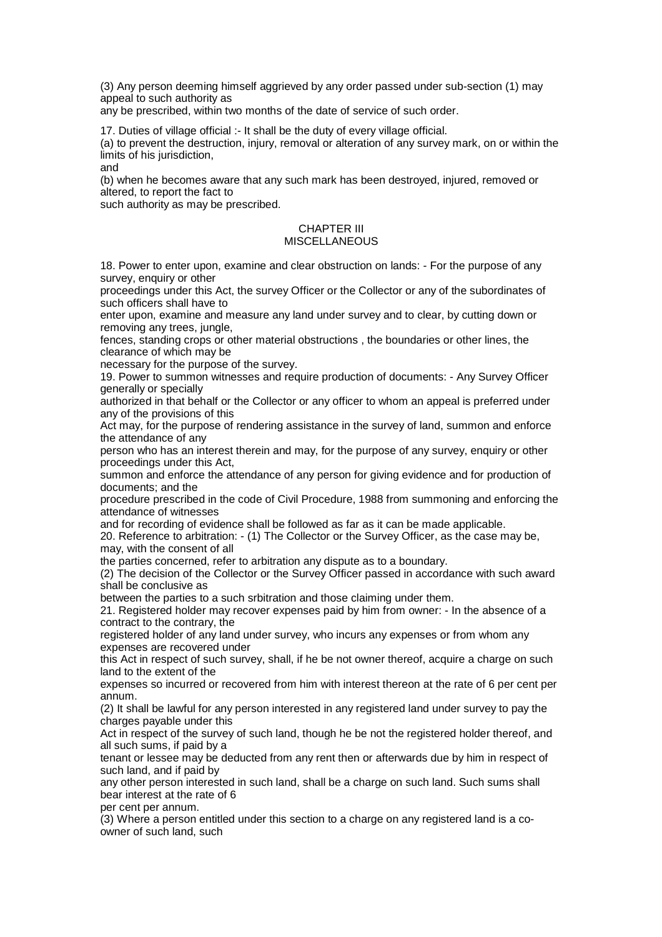(3) Any person deeming himself aggrieved by any order passed under sub-section (1) may appeal to such authority as

any be prescribed, within two months of the date of service of such order.

17. Duties of village official :- It shall be the duty of every village official.

(a) to prevent the destruction, injury, removal or alteration of any survey mark, on or within the limits of his jurisdiction,

and

(b) when he becomes aware that any such mark has been destroyed, injured, removed or altered, to report the fact to

such authority as may be prescribed.

## CHAPTER III MISCELLANEOUS

18. Power to enter upon, examine and clear obstruction on lands: - For the purpose of any survey, enquiry or other

proceedings under this Act, the survey Officer or the Collector or any of the subordinates of such officers shall have to

enter upon, examine and measure any land under survey and to clear, by cutting down or removing any trees, jungle,

fences, standing crops or other material obstructions , the boundaries or other lines, the clearance of which may be

necessary for the purpose of the survey.

19. Power to summon witnesses and require production of documents: - Any Survey Officer generally or specially

authorized in that behalf or the Collector or any officer to whom an appeal is preferred under any of the provisions of this

Act may, for the purpose of rendering assistance in the survey of land, summon and enforce the attendance of any

person who has an interest therein and may, for the purpose of any survey, enquiry or other proceedings under this Act,

summon and enforce the attendance of any person for giving evidence and for production of documents; and the

procedure prescribed in the code of Civil Procedure, 1988 from summoning and enforcing the attendance of witnesses

and for recording of evidence shall be followed as far as it can be made applicable.

20. Reference to arbitration: - (1) The Collector or the Survey Officer, as the case may be, may, with the consent of all

the parties concerned, refer to arbitration any dispute as to a boundary.

(2) The decision of the Collector or the Survey Officer passed in accordance with such award shall be conclusive as

between the parties to a such srbitration and those claiming under them.

21. Registered holder may recover expenses paid by him from owner: - In the absence of a contract to the contrary, the

registered holder of any land under survey, who incurs any expenses or from whom any expenses are recovered under

this Act in respect of such survey, shall, if he be not owner thereof, acquire a charge on such land to the extent of the

expenses so incurred or recovered from him with interest thereon at the rate of 6 per cent per annum.

(2) It shall be lawful for any person interested in any registered land under survey to pay the charges payable under this

Act in respect of the survey of such land, though he be not the registered holder thereof, and all such sums, if paid by a

tenant or lessee may be deducted from any rent then or afterwards due by him in respect of such land, and if paid by

any other person interested in such land, shall be a charge on such land. Such sums shall bear interest at the rate of 6

per cent per annum.

(3) Where a person entitled under this section to a charge on any registered land is a coowner of such land, such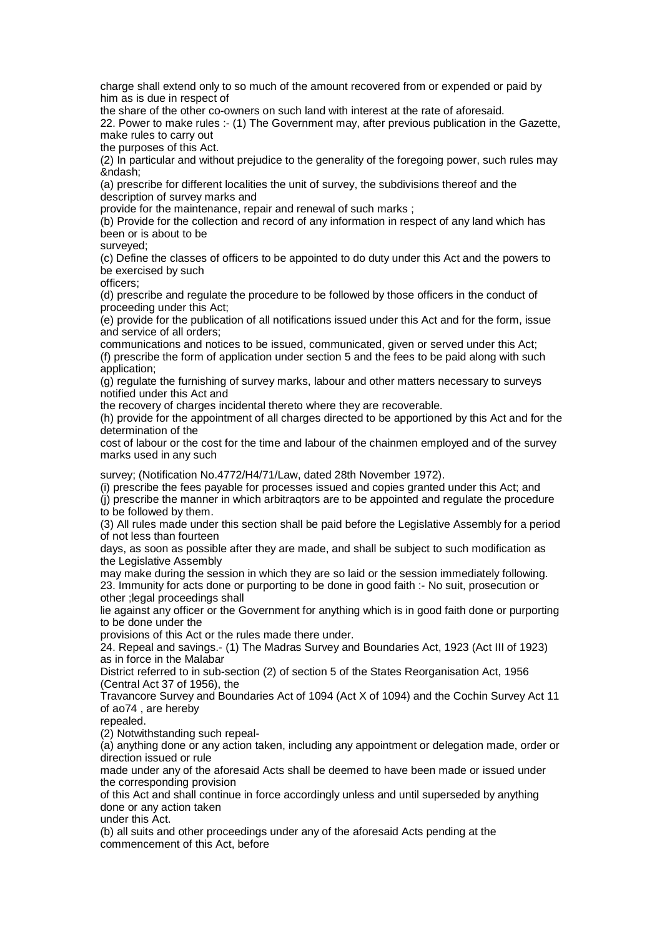charge shall extend only to so much of the amount recovered from or expended or paid by him as is due in respect of

the share of the other co-owners on such land with interest at the rate of aforesaid.

22. Power to make rules :- (1) The Government may, after previous publication in the Gazette, make rules to carry out

the purposes of this Act.

(2) In particular and without prejudice to the generality of the foregoing power, such rules may &ndash:

(a) prescribe for different localities the unit of survey, the subdivisions thereof and the description of survey marks and

provide for the maintenance, repair and renewal of such marks ;

(b) Provide for the collection and record of any information in respect of any land which has been or is about to be

surveyed;

(c) Define the classes of officers to be appointed to do duty under this Act and the powers to be exercised by such

officers;

(d) prescribe and regulate the procedure to be followed by those officers in the conduct of proceeding under this Act;

(e) provide for the publication of all notifications issued under this Act and for the form, issue and service of all orders;

communications and notices to be issued, communicated, given or served under this Act; (f) prescribe the form of application under section 5 and the fees to be paid along with such application;

(g) regulate the furnishing of survey marks, labour and other matters necessary to surveys notified under this Act and

the recovery of charges incidental thereto where they are recoverable.

(h) provide for the appointment of all charges directed to be apportioned by this Act and for the determination of the

cost of labour or the cost for the time and labour of the chainmen employed and of the survey marks used in any such

survey; (Notification No.4772/H4/71/Law, dated 28th November 1972).

(i) prescribe the fees payable for processes issued and copies granted under this Act; and

(j) prescribe the manner in which arbitraqtors are to be appointed and regulate the procedure to be followed by them.

(3) All rules made under this section shall be paid before the Legislative Assembly for a period of not less than fourteen

days, as soon as possible after they are made, and shall be subject to such modification as the Legislative Assembly

may make during the session in which they are so laid or the session immediately following. 23. Immunity for acts done or purporting to be done in good faith :- No suit, prosecution or other ;legal proceedings shall

lie against any officer or the Government for anything which is in good faith done or purporting to be done under the

provisions of this Act or the rules made there under.

24. Repeal and savings.- (1) The Madras Survey and Boundaries Act, 1923 (Act III of 1923) as in force in the Malabar

District referred to in sub-section (2) of section 5 of the States Reorganisation Act, 1956 (Central Act 37 of 1956), the

Travancore Survey and Boundaries Act of 1094 (Act X of 1094) and the Cochin Survey Act 11 of ao74 , are hereby

repealed.

(2) Notwithstanding such repeal-

(a) anything done or any action taken, including any appointment or delegation made, order or direction issued or rule

made under any of the aforesaid Acts shall be deemed to have been made or issued under the corresponding provision

of this Act and shall continue in force accordingly unless and until superseded by anything done or any action taken

under this Act.

(b) all suits and other proceedings under any of the aforesaid Acts pending at the commencement of this Act, before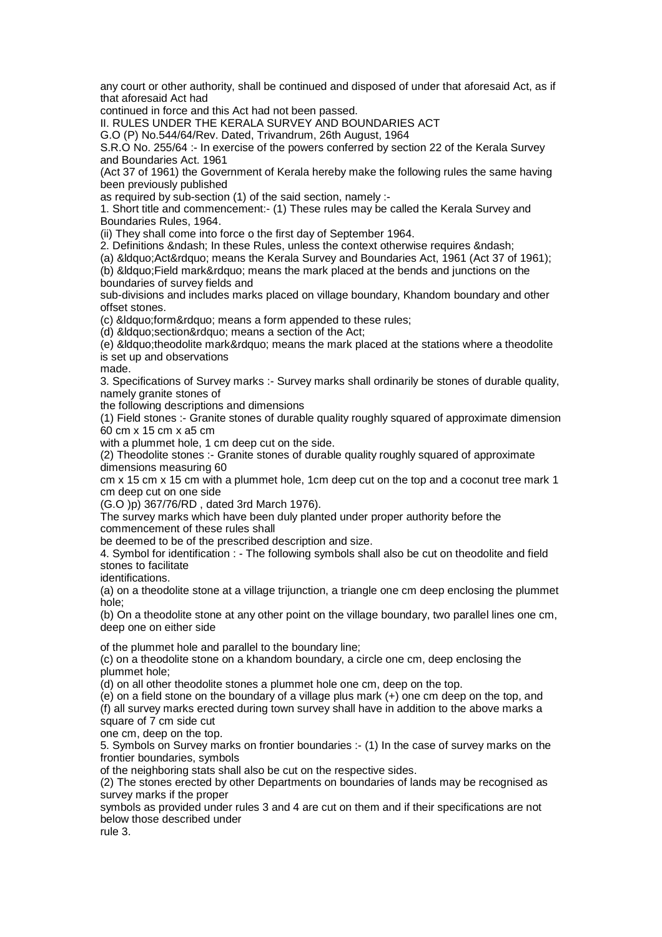any court or other authority, shall be continued and disposed of under that aforesaid Act, as if that aforesaid Act had

continued in force and this Act had not been passed.

II. RULES UNDER THE KERALA SURVEY AND BOUNDARIES ACT

G.O (P) No.544/64/Rev. Dated, Trivandrum, 26th August, 1964

S.R.O No. 255/64 :- In exercise of the powers conferred by section 22 of the Kerala Survey and Boundaries Act. 1961

(Act 37 of 1961) the Government of Kerala hereby make the following rules the same having been previously published

as required by sub-section (1) of the said section, namely :-

1. Short title and commencement:- (1) These rules may be called the Kerala Survey and Boundaries Rules, 1964.

(ii) They shall come into force o the first day of September 1964.

2. Definitions & ndash; In these Rules, unless the context otherwise requires & ndash;

(a) " Act" means the Kerala Survey and Boundaries Act, 1961 (Act 37 of 1961);

(b) &Idquo; Field mark" means the mark placed at the bends and junctions on the boundaries of survey fields and

sub-divisions and includes marks placed on village boundary, Khandom boundary and other offset stones.

(c) &Idquo;form" means a form appended to these rules;

(d) &Idquo; section" means a section of the Act;

(e) " theodolite mark" means the mark placed at the stations where a theodolite is set up and observations

made.

3. Specifications of Survey marks :- Survey marks shall ordinarily be stones of durable quality, namely granite stones of

the following descriptions and dimensions

(1) Field stones :- Granite stones of durable quality roughly squared of approximate dimension 60 cm x 15 cm x a5 cm

with a plummet hole, 1 cm deep cut on the side.

(2) Theodolite stones :- Granite stones of durable quality roughly squared of approximate dimensions measuring 60

cm x 15 cm x 15 cm with a plummet hole, 1cm deep cut on the top and a coconut tree mark 1 cm deep cut on one side

(G.O )p) 367/76/RD , dated 3rd March 1976).

The survey marks which have been duly planted under proper authority before the commencement of these rules shall

be deemed to be of the prescribed description and size.

4. Symbol for identification : - The following symbols shall also be cut on theodolite and field stones to facilitate

identifications.

(a) on a theodolite stone at a village trijunction, a triangle one cm deep enclosing the plummet hole;

(b) On a theodolite stone at any other point on the village boundary, two parallel lines one cm, deep one on either side

of the plummet hole and parallel to the boundary line;

(c) on a theodolite stone on a khandom boundary, a circle one cm, deep enclosing the plummet hole;

(d) on all other theodolite stones a plummet hole one cm, deep on the top.

(e) on a field stone on the boundary of a village plus mark (+) one cm deep on the top, and (f) all survey marks erected during town survey shall have in addition to the above marks a square of 7 cm side cut

one cm, deep on the top.

5. Symbols on Survey marks on frontier boundaries :- (1) In the case of survey marks on the frontier boundaries, symbols

of the neighboring stats shall also be cut on the respective sides.

(2) The stones erected by other Departments on boundaries of lands may be recognised as survey marks if the proper

symbols as provided under rules 3 and 4 are cut on them and if their specifications are not below those described under

rule 3.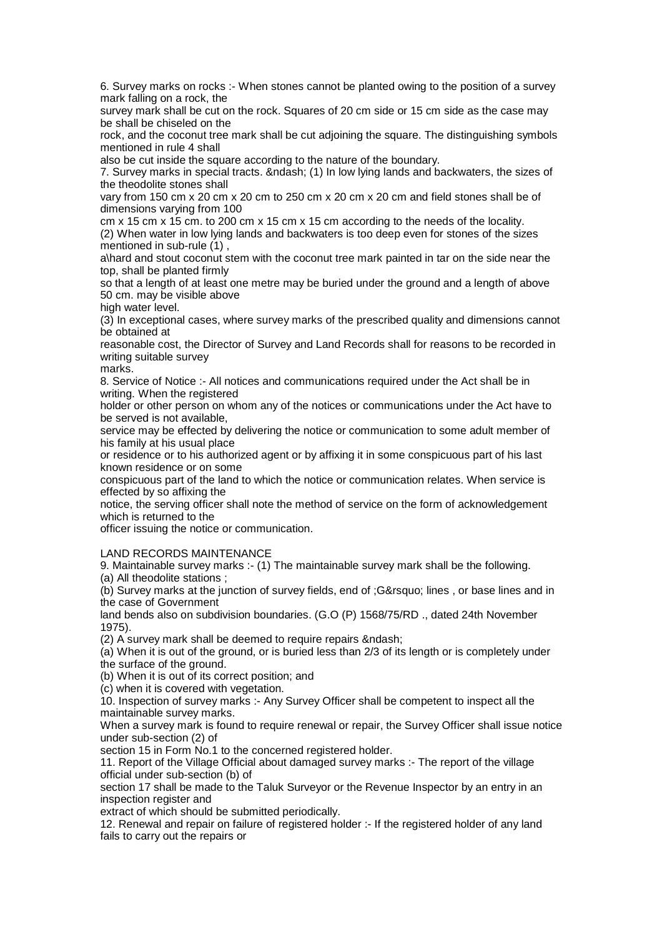6. Survey marks on rocks :- When stones cannot be planted owing to the position of a survey mark falling on a rock, the

survey mark shall be cut on the rock. Squares of 20 cm side or 15 cm side as the case may be shall be chiseled on the

rock, and the coconut tree mark shall be cut adjoining the square. The distinguishing symbols mentioned in rule 4 shall

also be cut inside the square according to the nature of the boundary.

7. Survey marks in special tracts. – (1) In low lying lands and backwaters, the sizes of the theodolite stones shall

vary from 150 cm x 20 cm x 20 cm to 250 cm x 20 cm x 20 cm and field stones shall be of dimensions varying from 100

cm x 15 cm x 15 cm. to 200 cm x 15 cm x 15 cm according to the needs of the locality. (2) When water in low lying lands and backwaters is too deep even for stones of the sizes mentioned in sub-rule (1) ,

a\hard and stout coconut stem with the coconut tree mark painted in tar on the side near the top, shall be planted firmly

so that a length of at least one metre may be buried under the ground and a length of above 50 cm. may be visible above

high water level.

(3) In exceptional cases, where survey marks of the prescribed quality and dimensions cannot be obtained at

reasonable cost, the Director of Survey and Land Records shall for reasons to be recorded in writing suitable survey

marks.

8. Service of Notice :- All notices and communications required under the Act shall be in writing. When the registered

holder or other person on whom any of the notices or communications under the Act have to be served is not available,

service may be effected by delivering the notice or communication to some adult member of his family at his usual place

or residence or to his authorized agent or by affixing it in some conspicuous part of his last known residence or on some

conspicuous part of the land to which the notice or communication relates. When service is effected by so affixing the

notice, the serving officer shall note the method of service on the form of acknowledgement which is returned to the

officer issuing the notice or communication.

LAND RECORDS MAINTENANCE

9. Maintainable survey marks :- (1) The maintainable survey mark shall be the following.

(a) All theodolite stations ;

(b) Survey marks at the junction of survey fields, end of ;G' lines , or base lines and in the case of Government

land bends also on subdivision boundaries. (G.O (P) 1568/75/RD ., dated 24th November 1975).

 $(2)$  A survey mark shall be deemed to require repairs & ndash;

(a) When it is out of the ground, or is buried less than 2/3 of its length or is completely under the surface of the ground.

(b) When it is out of its correct position; and

(c) when it is covered with vegetation.

10. Inspection of survey marks :- Any Survey Officer shall be competent to inspect all the maintainable survey marks.

When a survey mark is found to require renewal or repair, the Survey Officer shall issue notice under sub-section (2) of

section 15 in Form No.1 to the concerned registered holder.

11. Report of the Village Official about damaged survey marks :- The report of the village official under sub-section (b) of

section 17 shall be made to the Taluk Surveyor or the Revenue Inspector by an entry in an inspection register and

extract of which should be submitted periodically.

12. Renewal and repair on failure of registered holder :- If the registered holder of any land fails to carry out the repairs or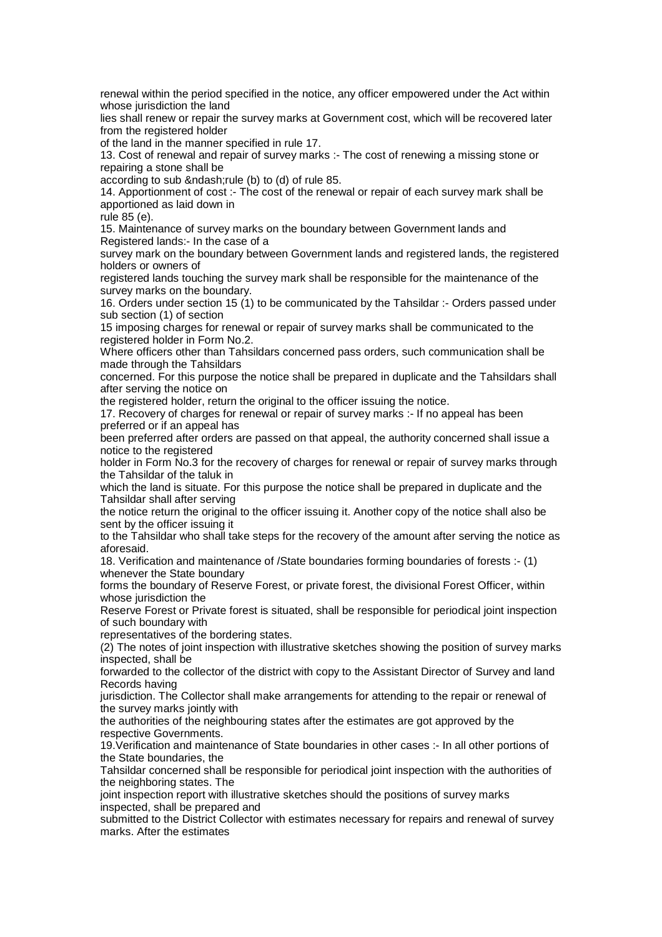renewal within the period specified in the notice, any officer empowered under the Act within whose jurisdiction the land

lies shall renew or repair the survey marks at Government cost, which will be recovered later from the registered holder

of the land in the manner specified in rule 17.

13. Cost of renewal and repair of survey marks :- The cost of renewing a missing stone or repairing a stone shall be

according to sub – rule (b) to (d) of rule 85.

14. Apportionment of cost :- The cost of the renewal or repair of each survey mark shall be apportioned as laid down in

rule 85 (e).

15. Maintenance of survey marks on the boundary between Government lands and Registered lands:- In the case of a

survey mark on the boundary between Government lands and registered lands, the registered holders or owners of

registered lands touching the survey mark shall be responsible for the maintenance of the survey marks on the boundary.

16. Orders under section 15 (1) to be communicated by the Tahsildar :- Orders passed under sub section (1) of section

15 imposing charges for renewal or repair of survey marks shall be communicated to the registered holder in Form No.2.

Where officers other than Tahsildars concerned pass orders, such communication shall be made through the Tahsildars

concerned. For this purpose the notice shall be prepared in duplicate and the Tahsildars shall after serving the notice on

the registered holder, return the original to the officer issuing the notice.

17. Recovery of charges for renewal or repair of survey marks :- If no appeal has been preferred or if an appeal has

been preferred after orders are passed on that appeal, the authority concerned shall issue a notice to the registered

holder in Form No.3 for the recovery of charges for renewal or repair of survey marks through the Tahsildar of the taluk in

which the land is situate. For this purpose the notice shall be prepared in duplicate and the Tahsildar shall after serving

the notice return the original to the officer issuing it. Another copy of the notice shall also be sent by the officer issuing it

to the Tahsildar who shall take steps for the recovery of the amount after serving the notice as aforesaid.

18. Verification and maintenance of /State boundaries forming boundaries of forests :- (1) whenever the State boundary

forms the boundary of Reserve Forest, or private forest, the divisional Forest Officer, within whose jurisdiction the

Reserve Forest or Private forest is situated, shall be responsible for periodical joint inspection of such boundary with

representatives of the bordering states.

(2) The notes of joint inspection with illustrative sketches showing the position of survey marks inspected, shall be

forwarded to the collector of the district with copy to the Assistant Director of Survey and land Records having

jurisdiction. The Collector shall make arrangements for attending to the repair or renewal of the survey marks jointly with

the authorities of the neighbouring states after the estimates are got approved by the respective Governments.

19.Verification and maintenance of State boundaries in other cases :- In all other portions of the State boundaries, the

Tahsildar concerned shall be responsible for periodical joint inspection with the authorities of the neighboring states. The

joint inspection report with illustrative sketches should the positions of survey marks inspected, shall be prepared and

submitted to the District Collector with estimates necessary for repairs and renewal of survey marks. After the estimates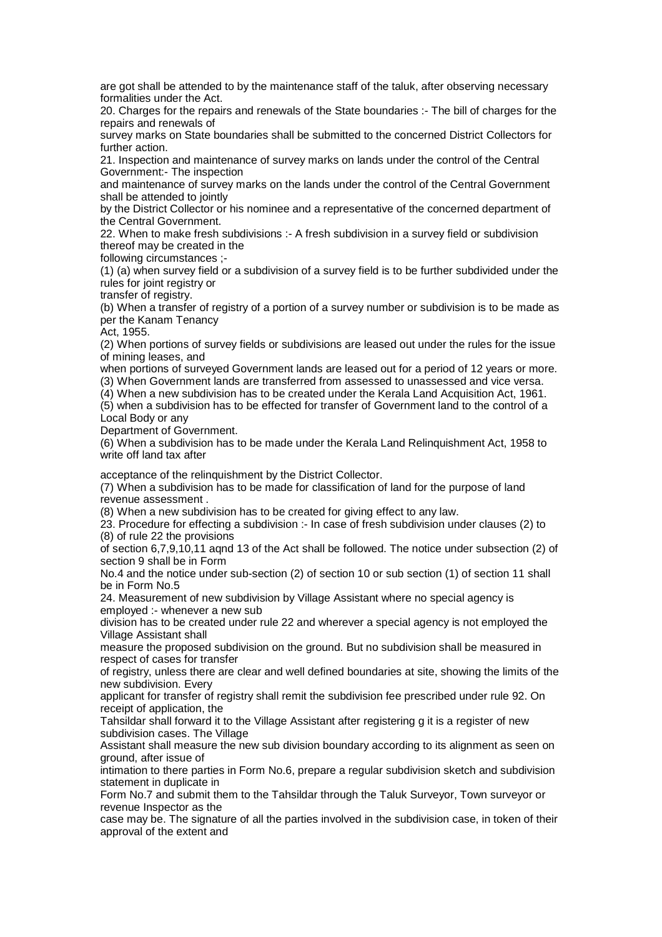are got shall be attended to by the maintenance staff of the taluk, after observing necessary formalities under the Act.

20. Charges for the repairs and renewals of the State boundaries :- The bill of charges for the repairs and renewals of

survey marks on State boundaries shall be submitted to the concerned District Collectors for further action.

21. Inspection and maintenance of survey marks on lands under the control of the Central Government:- The inspection

and maintenance of survey marks on the lands under the control of the Central Government shall be attended to jointly

by the District Collector or his nominee and a representative of the concerned department of the Central Government.

22. When to make fresh subdivisions :- A fresh subdivision in a survey field or subdivision thereof may be created in the

following circumstances ;-

(1) (a) when survey field or a subdivision of a survey field is to be further subdivided under the rules for joint registry or

transfer of registry.

(b) When a transfer of registry of a portion of a survey number or subdivision is to be made as per the Kanam Tenancy

Act, 1955.

(2) When portions of survey fields or subdivisions are leased out under the rules for the issue of mining leases, and

when portions of surveyed Government lands are leased out for a period of 12 years or more. (3) When Government lands are transferred from assessed to unassessed and vice versa.

(4) When a new subdivision has to be created under the Kerala Land Acquisition Act, 1961.

(5) when a subdivision has to be effected for transfer of Government land to the control of a Local Body or any

Department of Government.

(6) When a subdivision has to be made under the Kerala Land Relinquishment Act, 1958 to write off land tax after

acceptance of the relinquishment by the District Collector.

(7) When a subdivision has to be made for classification of land for the purpose of land revenue assessment .

(8) When a new subdivision has to be created for giving effect to any law.

23. Procedure for effecting a subdivision :- In case of fresh subdivision under clauses (2) to (8) of rule 22 the provisions

of section 6,7,9,10,11 aqnd 13 of the Act shall be followed. The notice under subsection (2) of section 9 shall be in Form

No.4 and the notice under sub-section (2) of section 10 or sub section (1) of section 11 shall be in Form No.5

24. Measurement of new subdivision by Village Assistant where no special agency is employed :- whenever a new sub

division has to be created under rule 22 and wherever a special agency is not employed the Village Assistant shall

measure the proposed subdivision on the ground. But no subdivision shall be measured in respect of cases for transfer

of registry, unless there are clear and well defined boundaries at site, showing the limits of the new subdivision. Every

applicant for transfer of registry shall remit the subdivision fee prescribed under rule 92. On receipt of application, the

Tahsildar shall forward it to the Village Assistant after registering g it is a register of new subdivision cases. The Village

Assistant shall measure the new sub division boundary according to its alignment as seen on ground, after issue of

intimation to there parties in Form No.6, prepare a regular subdivision sketch and subdivision statement in duplicate in

Form No.7 and submit them to the Tahsildar through the Taluk Surveyor, Town surveyor or revenue Inspector as the

case may be. The signature of all the parties involved in the subdivision case, in token of their approval of the extent and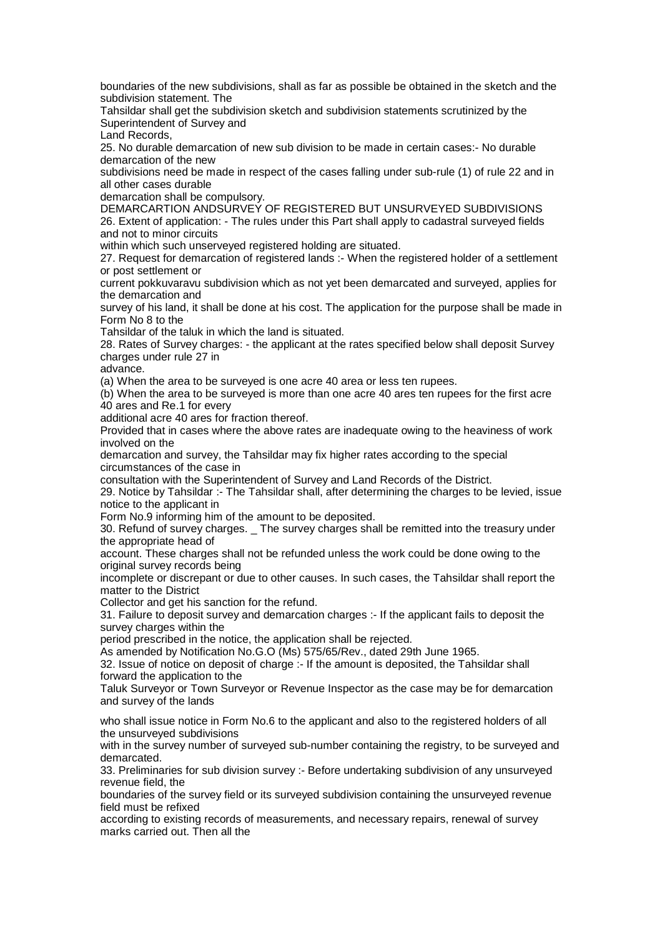boundaries of the new subdivisions, shall as far as possible be obtained in the sketch and the subdivision statement. The

Tahsildar shall get the subdivision sketch and subdivision statements scrutinized by the Superintendent of Survey and

Land Records,

25. No durable demarcation of new sub division to be made in certain cases:- No durable demarcation of the new

subdivisions need be made in respect of the cases falling under sub-rule (1) of rule 22 and in all other cases durable

demarcation shall be compulsory.

DEMARCARTION ANDSURVEY OF REGISTERED BUT UNSURVEYED SUBDIVISIONS 26. Extent of application: - The rules under this Part shall apply to cadastral surveyed fields and not to minor circuits

within which such unserveyed registered holding are situated.

27. Request for demarcation of registered lands :- When the registered holder of a settlement or post settlement or

current pokkuvaravu subdivision which as not yet been demarcated and surveyed, applies for the demarcation and

survey of his land, it shall be done at his cost. The application for the purpose shall be made in Form No 8 to the

Tahsildar of the taluk in which the land is situated.

28. Rates of Survey charges: - the applicant at the rates specified below shall deposit Survey charges under rule 27 in

advance.

(a) When the area to be surveyed is one acre 40 area or less ten rupees.

(b) When the area to be surveyed is more than one acre 40 ares ten rupees for the first acre 40 ares and Re.1 for every

additional acre 40 ares for fraction thereof.

Provided that in cases where the above rates are inadequate owing to the heaviness of work involved on the

demarcation and survey, the Tahsildar may fix higher rates according to the special circumstances of the case in

consultation with the Superintendent of Survey and Land Records of the District.

29. Notice by Tahsildar :- The Tahsildar shall, after determining the charges to be levied, issue notice to the applicant in

Form No.9 informing him of the amount to be deposited.

30. Refund of survey charges. \_ The survey charges shall be remitted into the treasury under the appropriate head of

account. These charges shall not be refunded unless the work could be done owing to the original survey records being

incomplete or discrepant or due to other causes. In such cases, the Tahsildar shall report the matter to the District

Collector and get his sanction for the refund.

31. Failure to deposit survey and demarcation charges :- If the applicant fails to deposit the survey charges within the

period prescribed in the notice, the application shall be rejected.

As amended by Notification No.G.O (Ms) 575/65/Rev., dated 29th June 1965.

32. Issue of notice on deposit of charge :- If the amount is deposited, the Tahsildar shall forward the application to the

Taluk Surveyor or Town Surveyor or Revenue Inspector as the case may be for demarcation and survey of the lands

who shall issue notice in Form No.6 to the applicant and also to the registered holders of all the unsurveyed subdivisions

with in the survey number of surveyed sub-number containing the registry, to be surveyed and demarcated.

33. Preliminaries for sub division survey :- Before undertaking subdivision of any unsurveyed revenue field, the

boundaries of the survey field or its surveyed subdivision containing the unsurveyed revenue field must be refixed

according to existing records of measurements, and necessary repairs, renewal of survey marks carried out. Then all the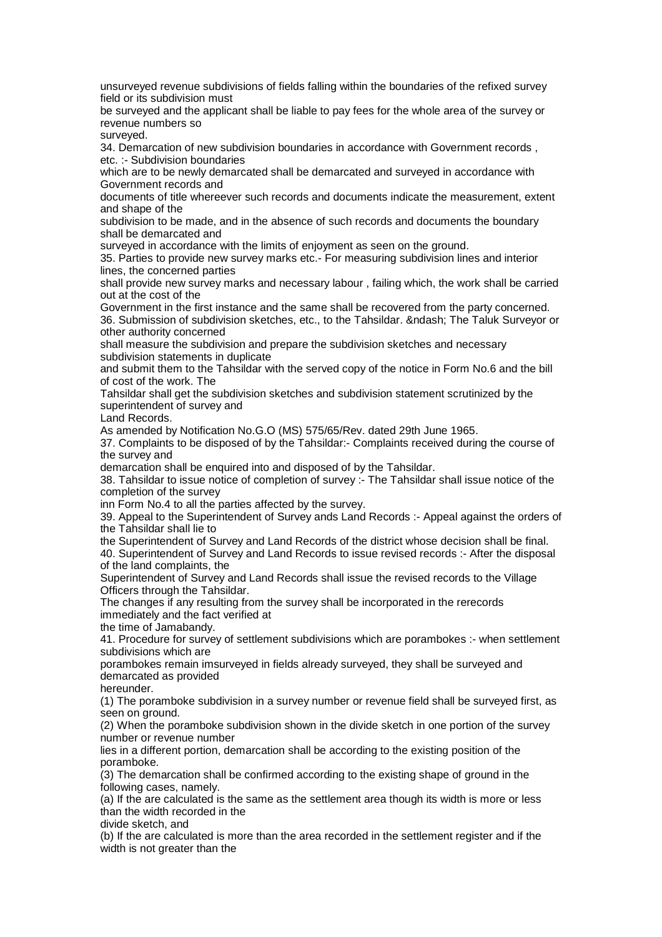unsurveyed revenue subdivisions of fields falling within the boundaries of the refixed survey field or its subdivision must

be surveyed and the applicant shall be liable to pay fees for the whole area of the survey or revenue numbers so

surveyed.

34. Demarcation of new subdivision boundaries in accordance with Government records , etc. :- Subdivision boundaries

which are to be newly demarcated shall be demarcated and surveyed in accordance with Government records and

documents of title whereever such records and documents indicate the measurement, extent and shape of the

subdivision to be made, and in the absence of such records and documents the boundary shall be demarcated and

surveyed in accordance with the limits of enjoyment as seen on the ground.

35. Parties to provide new survey marks etc.- For measuring subdivision lines and interior lines, the concerned parties

shall provide new survey marks and necessary labour , failing which, the work shall be carried out at the cost of the

Government in the first instance and the same shall be recovered from the party concerned. 36. Submission of subdivision sketches, etc., to the Tahsildar. – The Taluk Surveyor or other authority concerned

shall measure the subdivision and prepare the subdivision sketches and necessary subdivision statements in duplicate

and submit them to the Tahsildar with the served copy of the notice in Form No.6 and the bill of cost of the work. The

Tahsildar shall get the subdivision sketches and subdivision statement scrutinized by the superintendent of survey and

Land Records.

As amended by Notification No.G.O (MS) 575/65/Rev. dated 29th June 1965.

37. Complaints to be disposed of by the Tahsildar:- Complaints received during the course of the survey and

demarcation shall be enquired into and disposed of by the Tahsildar.

38. Tahsildar to issue notice of completion of survey :- The Tahsildar shall issue notice of the completion of the survey

inn Form No.4 to all the parties affected by the survey.

39. Appeal to the Superintendent of Survey ands Land Records :- Appeal against the orders of the Tahsildar shall lie to

the Superintendent of Survey and Land Records of the district whose decision shall be final.

40. Superintendent of Survey and Land Records to issue revised records :- After the disposal of the land complaints, the

Superintendent of Survey and Land Records shall issue the revised records to the Village Officers through the Tahsildar.

The changes if any resulting from the survey shall be incorporated in the rerecords immediately and the fact verified at

the time of Jamabandy.

41. Procedure for survey of settlement subdivisions which are porambokes :- when settlement subdivisions which are

porambokes remain imsurveyed in fields already surveyed, they shall be surveyed and demarcated as provided

hereunder.

(1) The poramboke subdivision in a survey number or revenue field shall be surveyed first, as seen on ground.

(2) When the poramboke subdivision shown in the divide sketch in one portion of the survey number or revenue number

lies in a different portion, demarcation shall be according to the existing position of the poramboke.

(3) The demarcation shall be confirmed according to the existing shape of ground in the following cases, namely.

(a) If the are calculated is the same as the settlement area though its width is more or less than the width recorded in the

divide sketch, and

(b) If the are calculated is more than the area recorded in the settlement register and if the width is not greater than the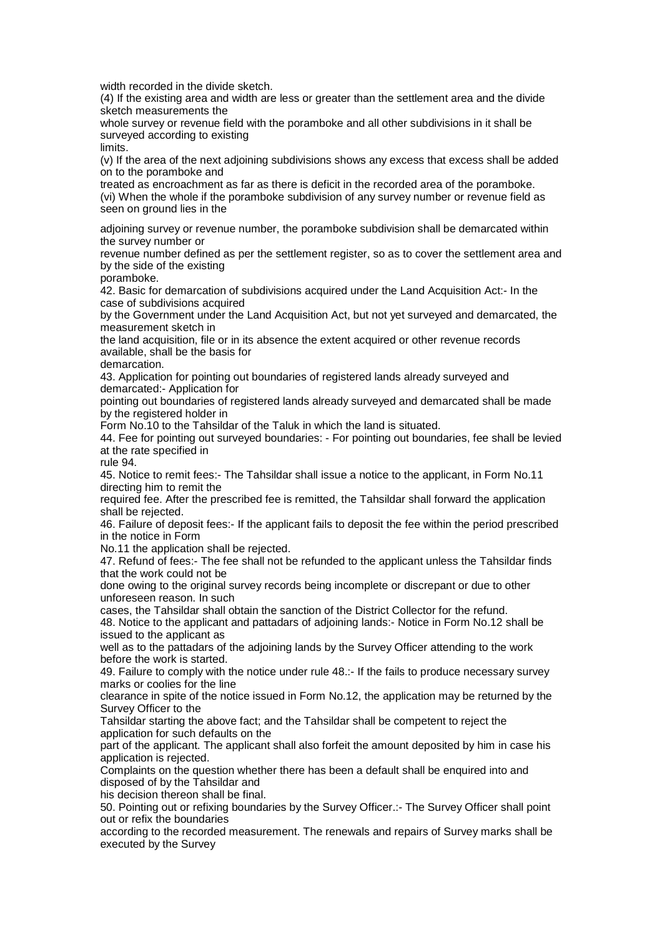width recorded in the divide sketch.

(4) If the existing area and width are less or greater than the settlement area and the divide sketch measurements the

whole survey or revenue field with the poramboke and all other subdivisions in it shall be surveyed according to existing

limits.

(v) If the area of the next adjoining subdivisions shows any excess that excess shall be added on to the poramboke and

treated as encroachment as far as there is deficit in the recorded area of the poramboke. (vi) When the whole if the poramboke subdivision of any survey number or revenue field as seen on ground lies in the

adjoining survey or revenue number, the poramboke subdivision shall be demarcated within the survey number or

revenue number defined as per the settlement register, so as to cover the settlement area and by the side of the existing

poramboke.

42. Basic for demarcation of subdivisions acquired under the Land Acquisition Act:- In the case of subdivisions acquired

by the Government under the Land Acquisition Act, but not yet surveyed and demarcated, the measurement sketch in

the land acquisition, file or in its absence the extent acquired or other revenue records available, shall be the basis for

demarcation.

43. Application for pointing out boundaries of registered lands already surveyed and demarcated:- Application for

pointing out boundaries of registered lands already surveyed and demarcated shall be made by the registered holder in

Form No.10 to the Tahsildar of the Taluk in which the land is situated.

44. Fee for pointing out surveyed boundaries: - For pointing out boundaries, fee shall be levied at the rate specified in

rule 94.

45. Notice to remit fees:- The Tahsildar shall issue a notice to the applicant, in Form No.11 directing him to remit the

required fee. After the prescribed fee is remitted, the Tahsildar shall forward the application shall be rejected.

46. Failure of deposit fees:- If the applicant fails to deposit the fee within the period prescribed in the notice in Form

No.11 the application shall be rejected.

47. Refund of fees:- The fee shall not be refunded to the applicant unless the Tahsildar finds that the work could not be

done owing to the original survey records being incomplete or discrepant or due to other unforeseen reason. In such

cases, the Tahsildar shall obtain the sanction of the District Collector for the refund.

48. Notice to the applicant and pattadars of adjoining lands:- Notice in Form No.12 shall be issued to the applicant as

well as to the pattadars of the adjoining lands by the Survey Officer attending to the work before the work is started.

49. Failure to comply with the notice under rule 48.:- If the fails to produce necessary survey marks or coolies for the line

clearance in spite of the notice issued in Form No.12, the application may be returned by the Survey Officer to the

Tahsildar starting the above fact; and the Tahsildar shall be competent to reject the application for such defaults on the

part of the applicant. The applicant shall also forfeit the amount deposited by him in case his application is rejected.

Complaints on the question whether there has been a default shall be enquired into and disposed of by the Tahsildar and

his decision thereon shall be final.

50. Pointing out or refixing boundaries by the Survey Officer.:- The Survey Officer shall point out or refix the boundaries

according to the recorded measurement. The renewals and repairs of Survey marks shall be executed by the Survey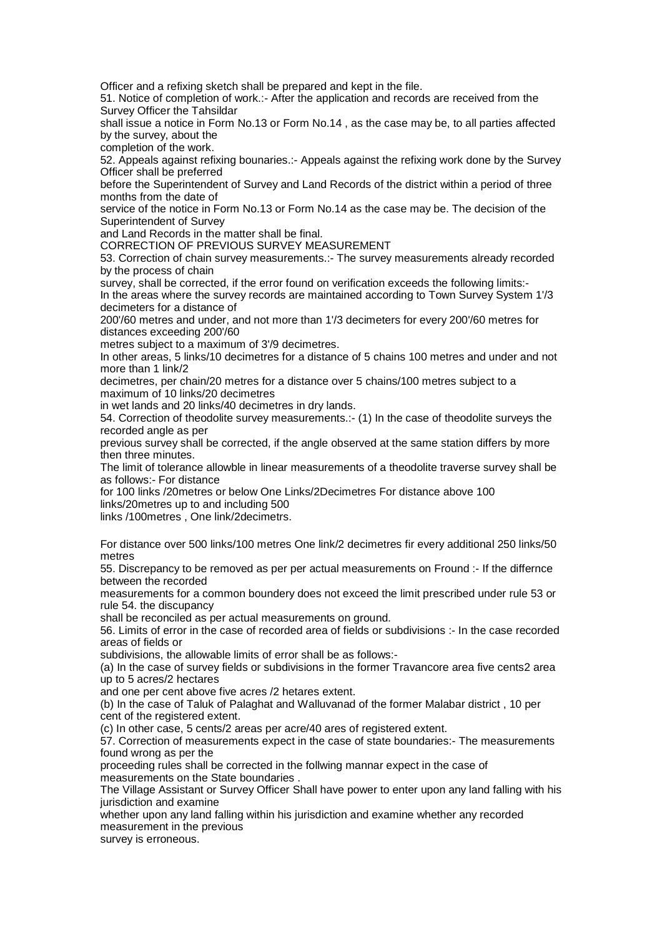Officer and a refixing sketch shall be prepared and kept in the file.

51. Notice of completion of work.:- After the application and records are received from the Survey Officer the Tahsildar

shall issue a notice in Form No.13 or Form No.14 , as the case may be, to all parties affected by the survey, about the

completion of the work.

52. Appeals against refixing bounaries.:- Appeals against the refixing work done by the Survey Officer shall be preferred

before the Superintendent of Survey and Land Records of the district within a period of three months from the date of

service of the notice in Form No.13 or Form No.14 as the case may be. The decision of the Superintendent of Survey

and Land Records in the matter shall be final.

CORRECTION OF PREVIOUS SURVEY MEASUREMENT

53. Correction of chain survey measurements.:- The survey measurements already recorded by the process of chain

survey, shall be corrected, if the error found on verification exceeds the following limits:- In the areas where the survey records are maintained according to Town Survey System 1'/3 decimeters for a distance of

200'/60 metres and under, and not more than 1'/3 decimeters for every 200'/60 metres for distances exceeding 200'/60

metres subject to a maximum of 3'/9 decimetres.

In other areas, 5 links/10 decimetres for a distance of 5 chains 100 metres and under and not more than 1 link/2

decimetres, per chain/20 metres for a distance over 5 chains/100 metres subject to a maximum of 10 links/20 decimetres

in wet lands and 20 links/40 decimetres in dry lands.

54. Correction of theodolite survey measurements.:- (1) In the case of theodolite surveys the recorded angle as per

previous survey shall be corrected, if the angle observed at the same station differs by more then three minutes.

The limit of tolerance allowble in linear measurements of a theodolite traverse survey shall be as follows:- For distance

for 100 links /20metres or below One Links/2Decimetres For distance above 100 links/20metres up to and including 500

links /100metres , One link/2decimetrs.

For distance over 500 links/100 metres One link/2 decimetres fir every additional 250 links/50 metres

55. Discrepancy to be removed as per per actual measurements on Fround :- If the differnce between the recorded

measurements for a common boundery does not exceed the limit prescribed under rule 53 or rule 54. the discupancy

shall be reconciled as per actual measurements on ground.

56. Limits of error in the case of recorded area of fields or subdivisions :- In the case recorded areas of fields or

subdivisions, the allowable limits of error shall be as follows:-

(a) In the case of survey fields or subdivisions in the former Travancore area five cents2 area up to 5 acres/2 hectares

and one per cent above five acres /2 hetares extent.

(b) In the case of Taluk of Palaghat and Walluvanad of the former Malabar district , 10 per cent of the registered extent.

(c) In other case, 5 cents/2 areas per acre/40 ares of registered extent.

57. Correction of measurements expect in the case of state boundaries:- The measurements found wrong as per the

proceeding rules shall be corrected in the follwing mannar expect in the case of measurements on the State boundaries .

The Village Assistant or Survey Officer Shall have power to enter upon any land falling with his jurisdiction and examine

whether upon any land falling within his jurisdiction and examine whether any recorded measurement in the previous

survey is erroneous.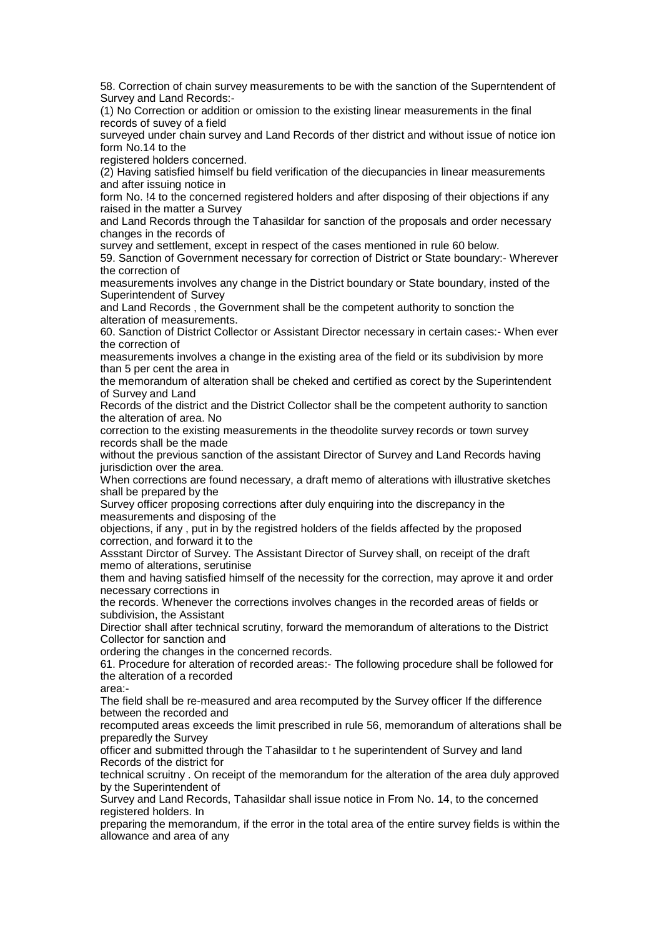58. Correction of chain survey measurements to be with the sanction of the Superntendent of Survey and Land Records:-

(1) No Correction or addition or omission to the existing linear measurements in the final records of suvey of a field

surveyed under chain survey and Land Records of ther district and without issue of notice ion form No.14 to the

registered holders concerned.

(2) Having satisfied himself bu field verification of the diecupancies in linear measurements and after issuing notice in

form No. !4 to the concerned registered holders and after disposing of their objections if any raised in the matter a Survey

and Land Records through the Tahasildar for sanction of the proposals and order necessary changes in the records of

survey and settlement, except in respect of the cases mentioned in rule 60 below.

59. Sanction of Government necessary for correction of District or State boundary:- Wherever the correction of

measurements involves any change in the District boundary or State boundary, insted of the Superintendent of Survey

and Land Records , the Government shall be the competent authority to sonction the alteration of measurements.

60. Sanction of District Collector or Assistant Director necessary in certain cases:- When ever the correction of

measurements involves a change in the existing area of the field or its subdivision by more than 5 per cent the area in

the memorandum of alteration shall be cheked and certified as corect by the Superintendent of Survey and Land

Records of the district and the District Collector shall be the competent authority to sanction the alteration of area. No

correction to the existing measurements in the theodolite survey records or town survey records shall be the made

without the previous sanction of the assistant Director of Survey and Land Records having jurisdiction over the area.

When corrections are found necessary, a draft memo of alterations with illustrative sketches shall be prepared by the

Survey officer proposing corrections after duly enquiring into the discrepancy in the measurements and disposing of the

objections, if any , put in by the registred holders of the fields affected by the proposed correction, and forward it to the

Assstant Dirctor of Survey. The Assistant Director of Survey shall, on receipt of the draft memo of alterations, serutinise

them and having satisfied himself of the necessity for the correction, may aprove it and order necessary corrections in

the records. Whenever the corrections involves changes in the recorded areas of fields or subdivision, the Assistant

Directior shall after technical scrutiny, forward the memorandum of alterations to the District Collector for sanction and

ordering the changes in the concerned records.

61. Procedure for alteration of recorded areas:- The following procedure shall be followed for the alteration of a recorded

area:-

The field shall be re-measured and area recomputed by the Survey officer If the difference between the recorded and

recomputed areas exceeds the limit prescribed in rule 56, memorandum of alterations shall be preparedly the Survey

officer and submitted through the Tahasildar to t he superintendent of Survey and land Records of the district for

technical scruitny . On receipt of the memorandum for the alteration of the area duly approved by the Superintendent of

Survey and Land Records, Tahasildar shall issue notice in From No. 14, to the concerned registered holders. In

preparing the memorandum, if the error in the total area of the entire survey fields is within the allowance and area of any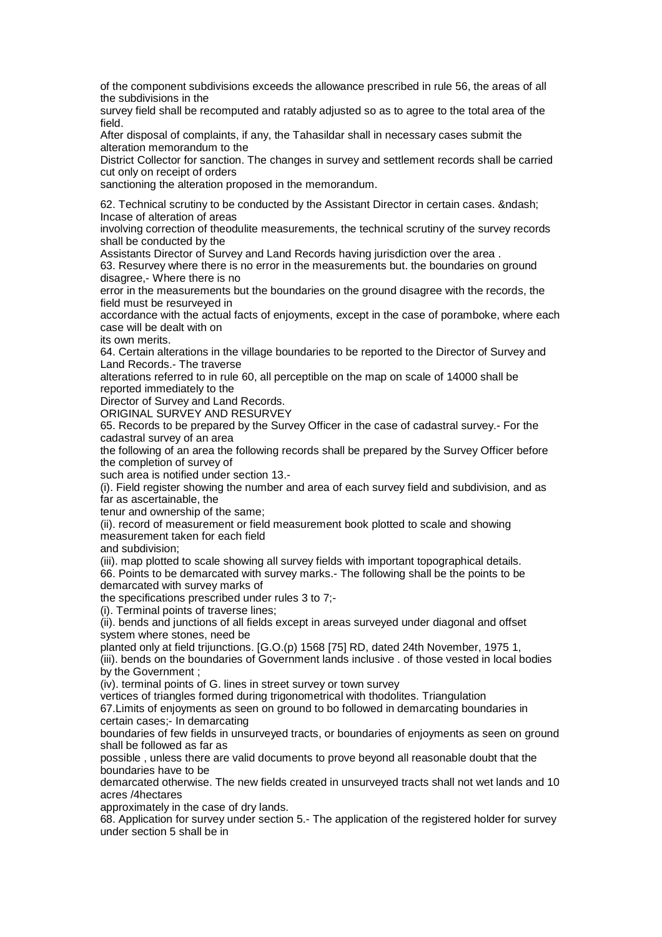of the component subdivisions exceeds the allowance prescribed in rule 56, the areas of all the subdivisions in the

survey field shall be recomputed and ratably adjusted so as to agree to the total area of the field.

After disposal of complaints, if any, the Tahasildar shall in necessary cases submit the alteration memorandum to the

District Collector for sanction. The changes in survey and settlement records shall be carried cut only on receipt of orders

sanctioning the alteration proposed in the memorandum.

62. Technical scrutiny to be conducted by the Assistant Director in certain cases. & ndash; Incase of alteration of areas

involving correction of theodulite measurements, the technical scrutiny of the survey records shall be conducted by the

Assistants Director of Survey and Land Records having jurisdiction over the area .

63. Resurvey where there is no error in the measurements but. the boundaries on ground disagree,- Where there is no

error in the measurements but the boundaries on the ground disagree with the records, the field must be resurveyed in

accordance with the actual facts of enjoyments, except in the case of poramboke, where each case will be dealt with on

its own merits.

64. Certain alterations in the village boundaries to be reported to the Director of Survey and Land Records.- The traverse

alterations referred to in rule 60, all perceptible on the map on scale of 14000 shall be reported immediately to the

Director of Survey and Land Records.

ORIGINAL SURVEY AND RESURVEY

65. Records to be prepared by the Survey Officer in the case of cadastral survey.- For the cadastral survey of an area

the following of an area the following records shall be prepared by the Survey Officer before the completion of survey of

such area is notified under section 13.-

(i). Field register showing the number and area of each survey field and subdivision, and as far as ascertainable, the

tenur and ownership of the same;

(ii). record of measurement or field measurement book plotted to scale and showing measurement taken for each field

and subdivision;

(iii). map plotted to scale showing all survey fields with important topographical details. 66. Points to be demarcated with survey marks.- The following shall be the points to be demarcated with survey marks of

the specifications prescribed under rules 3 to 7;-

(i). Terminal points of traverse lines;

(ii). bends and junctions of all fields except in areas surveyed under diagonal and offset system where stones, need be

planted only at field trijunctions. [G.O.(p) 1568 [75] RD, dated 24th November, 1975 1, (iii). bends on the boundaries of Government lands inclusive . of those vested in local bodies by the Government ;

(iv). terminal points of G. lines in street survey or town survey

vertices of triangles formed during trigonometrical with thodolites. Triangulation

67.Limits of enjoyments as seen on ground to bo followed in demarcating boundaries in certain cases;- In demarcating

boundaries of few fields in unsurveyed tracts, or boundaries of enjoyments as seen on ground shall be followed as far as

possible , unless there are valid documents to prove beyond all reasonable doubt that the boundaries have to be

demarcated otherwise. The new fields created in unsurveyed tracts shall not wet lands and 10 acres /4hectares

approximately in the case of dry lands.

68. Application for survey under section 5.- The application of the registered holder for survey under section 5 shall be in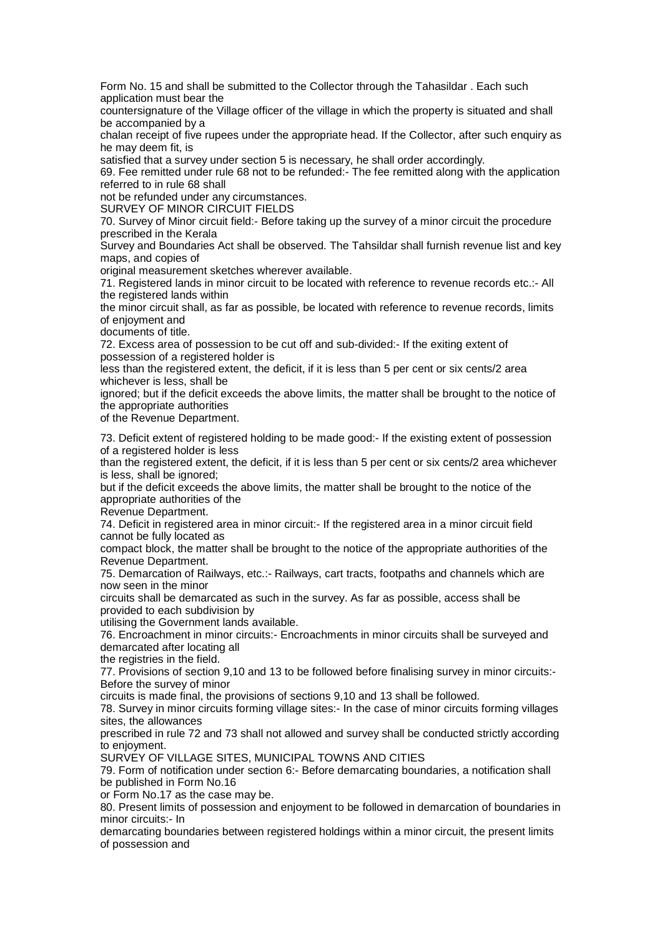Form No. 15 and shall be submitted to the Collector through the Tahasildar . Each such application must bear the

countersignature of the Village officer of the village in which the property is situated and shall be accompanied by a

chalan receipt of five rupees under the appropriate head. If the Collector, after such enquiry as he may deem fit, is

satisfied that a survey under section 5 is necessary, he shall order accordingly.

69. Fee remitted under rule 68 not to be refunded:- The fee remitted along with the application referred to in rule 68 shall

not be refunded under any circumstances.

SURVEY OF MINOR CIRCUIT FIELDS

70. Survey of Minor circuit field:- Before taking up the survey of a minor circuit the procedure prescribed in the Kerala

Survey and Boundaries Act shall be observed. The Tahsildar shall furnish revenue list and key maps, and copies of

original measurement sketches wherever available.

71. Registered lands in minor circuit to be located with reference to revenue records etc.:- All the registered lands within

the minor circuit shall, as far as possible, be located with reference to revenue records, limits of enjoyment and

documents of title.

72. Excess area of possession to be cut off and sub-divided:- If the exiting extent of possession of a registered holder is

less than the registered extent, the deficit, if it is less than 5 per cent or six cents/2 area whichever is less, shall be

ignored; but if the deficit exceeds the above limits, the matter shall be brought to the notice of the appropriate authorities

of the Revenue Department.

73. Deficit extent of registered holding to be made good:- If the existing extent of possession of a registered holder is less

than the registered extent, the deficit, if it is less than 5 per cent or six cents/2 area whichever is less, shall be ignored;

but if the deficit exceeds the above limits, the matter shall be brought to the notice of the appropriate authorities of the

Revenue Department.

74. Deficit in registered area in minor circuit:- If the registered area in a minor circuit field cannot be fully located as

compact block, the matter shall be brought to the notice of the appropriate authorities of the Revenue Department.

75. Demarcation of Railways, etc.:- Railways, cart tracts, footpaths and channels which are now seen in the minor

circuits shall be demarcated as such in the survey. As far as possible, access shall be provided to each subdivision by

utilising the Government lands available.

76. Encroachment in minor circuits:- Encroachments in minor circuits shall be surveyed and demarcated after locating all

the registries in the field.

77. Provisions of section 9,10 and 13 to be followed before finalising survey in minor circuits:- Before the survey of minor

circuits is made final, the provisions of sections 9,10 and 13 shall be followed.

78. Survey in minor circuits forming village sites:- In the case of minor circuits forming villages sites, the allowances

prescribed in rule 72 and 73 shall not allowed and survey shall be conducted strictly according to enjoyment.

SURVEY OF VILLAGE SITES, MUNICIPAL TOWNS AND CITIES

79. Form of notification under section 6:- Before demarcating boundaries, a notification shall be published in Form No.16

or Form No.17 as the case may be.

80. Present limits of possession and enjoyment to be followed in demarcation of boundaries in minor circuits:- In

demarcating boundaries between registered holdings within a minor circuit, the present limits of possession and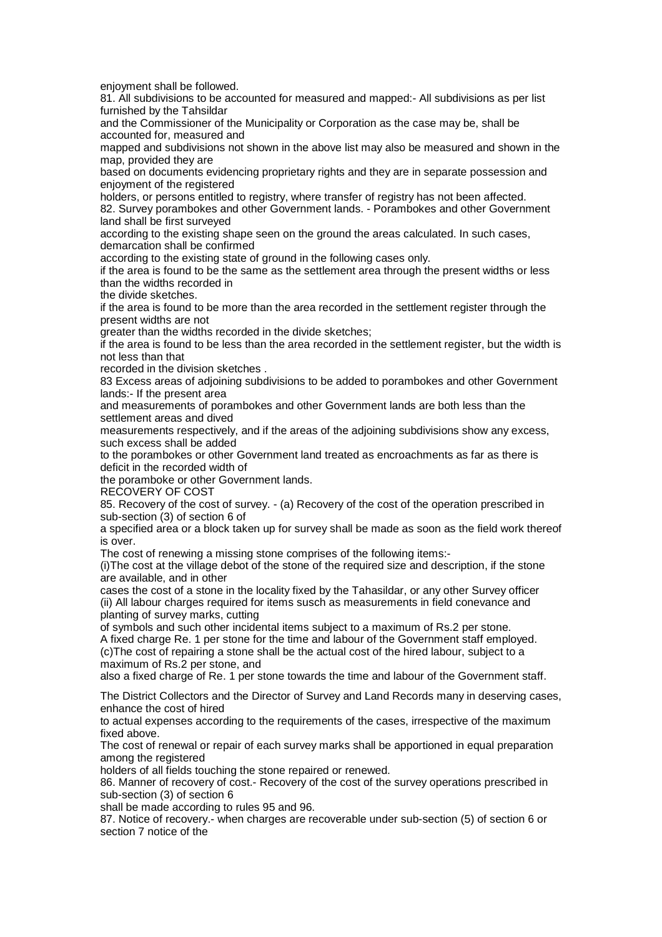enjoyment shall be followed.

81. All subdivisions to be accounted for measured and mapped:- All subdivisions as per list furnished by the Tahsildar

and the Commissioner of the Municipality or Corporation as the case may be, shall be accounted for, measured and

mapped and subdivisions not shown in the above list may also be measured and shown in the map, provided they are

based on documents evidencing proprietary rights and they are in separate possession and enjoyment of the registered

holders, or persons entitled to registry, where transfer of registry has not been affected. 82. Survey porambokes and other Government lands. - Porambokes and other Government land shall be first surveyed

according to the existing shape seen on the ground the areas calculated. In such cases, demarcation shall be confirmed

according to the existing state of ground in the following cases only.

if the area is found to be the same as the settlement area through the present widths or less than the widths recorded in

the divide sketches.

if the area is found to be more than the area recorded in the settlement register through the present widths are not

greater than the widths recorded in the divide sketches;

if the area is found to be less than the area recorded in the settlement register, but the width is not less than that

recorded in the division sketches .

83 Excess areas of adjoining subdivisions to be added to porambokes and other Government lands:- If the present area

and measurements of porambokes and other Government lands are both less than the settlement areas and dived

measurements respectively, and if the areas of the adjoining subdivisions show any excess, such excess shall be added

to the porambokes or other Government land treated as encroachments as far as there is deficit in the recorded width of

the poramboke or other Government lands.

RECOVERY OF COST

85. Recovery of the cost of survey. - (a) Recovery of the cost of the operation prescribed in sub-section (3) of section 6 of

a specified area or a block taken up for survey shall be made as soon as the field work thereof is over.

The cost of renewing a missing stone comprises of the following items:-

(i)The cost at the village debot of the stone of the required size and description, if the stone are available, and in other

cases the cost of a stone in the locality fixed by the Tahasildar, or any other Survey officer (ii) All labour charges required for items susch as measurements in field conevance and planting of survey marks, cutting

of symbols and such other incidental items subject to a maximum of Rs.2 per stone. A fixed charge Re. 1 per stone for the time and labour of the Government staff employed. (c)The cost of repairing a stone shall be the actual cost of the hired labour, subject to a maximum of Rs.2 per stone, and

also a fixed charge of Re. 1 per stone towards the time and labour of the Government staff.

The District Collectors and the Director of Survey and Land Records many in deserving cases, enhance the cost of hired

to actual expenses according to the requirements of the cases, irrespective of the maximum fixed above.

The cost of renewal or repair of each survey marks shall be apportioned in equal preparation among the registered

holders of all fields touching the stone repaired or renewed.

86. Manner of recovery of cost.- Recovery of the cost of the survey operations prescribed in sub-section (3) of section 6

shall be made according to rules 95 and 96.

87. Notice of recovery.- when charges are recoverable under sub-section (5) of section 6 or section 7 notice of the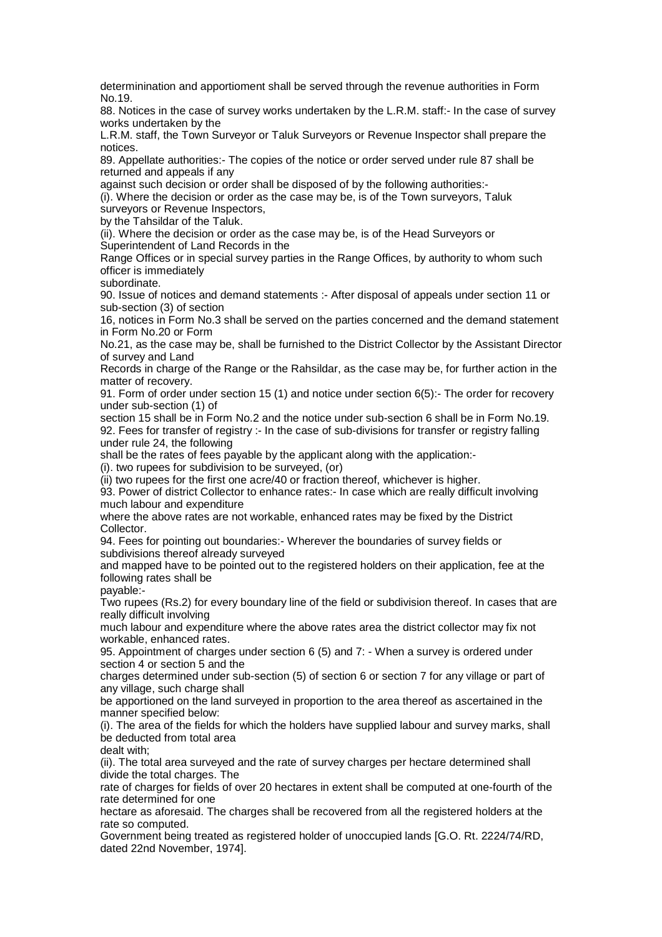determinination and apportioment shall be served through the revenue authorities in Form No.19.

88. Notices in the case of survey works undertaken by the L.R.M. staff:- In the case of survey works undertaken by the

L.R.M. staff, the Town Surveyor or Taluk Surveyors or Revenue Inspector shall prepare the notices.

89. Appellate authorities:- The copies of the notice or order served under rule 87 shall be returned and appeals if any

against such decision or order shall be disposed of by the following authorities:-

(i). Where the decision or order as the case may be, is of the Town surveyors, Taluk surveyors or Revenue Inspectors,

by the Tahsildar of the Taluk.

(ii). Where the decision or order as the case may be, is of the Head Surveyors or Superintendent of Land Records in the

Range Offices or in special survey parties in the Range Offices, by authority to whom such officer is immediately

subordinate.

90. Issue of notices and demand statements :- After disposal of appeals under section 11 or sub-section (3) of section

16, notices in Form No.3 shall be served on the parties concerned and the demand statement in Form No.20 or Form

No.21, as the case may be, shall be furnished to the District Collector by the Assistant Director of survey and Land

Records in charge of the Range or the Rahsildar, as the case may be, for further action in the matter of recovery.

91. Form of order under section 15 (1) and notice under section 6(5):- The order for recovery under sub-section (1) of

section 15 shall be in Form No.2 and the notice under sub-section 6 shall be in Form No.19. 92. Fees for transfer of registry :- In the case of sub-divisions for transfer or registry falling under rule 24, the following

shall be the rates of fees payable by the applicant along with the application:-

(i). two rupees for subdivision to be surveyed, (or)

(ii) two rupees for the first one acre/40 or fraction thereof, whichever is higher.

93. Power of district Collector to enhance rates:- In case which are really difficult involving much labour and expenditure

where the above rates are not workable, enhanced rates may be fixed by the District Collector.

94. Fees for pointing out boundaries:- Wherever the boundaries of survey fields or subdivisions thereof already surveyed

and mapped have to be pointed out to the registered holders on their application, fee at the following rates shall be

payable:-

Two rupees (Rs.2) for every boundary line of the field or subdivision thereof. In cases that are really difficult involving

much labour and expenditure where the above rates area the district collector may fix not workable, enhanced rates.

95. Appointment of charges under section 6 (5) and 7: - When a survey is ordered under section 4 or section 5 and the

charges determined under sub-section (5) of section 6 or section 7 for any village or part of any village, such charge shall

be apportioned on the land surveyed in proportion to the area thereof as ascertained in the manner specified below:

(i). The area of the fields for which the holders have supplied labour and survey marks, shall be deducted from total area

dealt with;

(ii). The total area surveyed and the rate of survey charges per hectare determined shall divide the total charges. The

rate of charges for fields of over 20 hectares in extent shall be computed at one-fourth of the rate determined for one

hectare as aforesaid. The charges shall be recovered from all the registered holders at the rate so computed.

Government being treated as registered holder of unoccupied lands [G.O. Rt. 2224/74/RD, dated 22nd November, 1974].